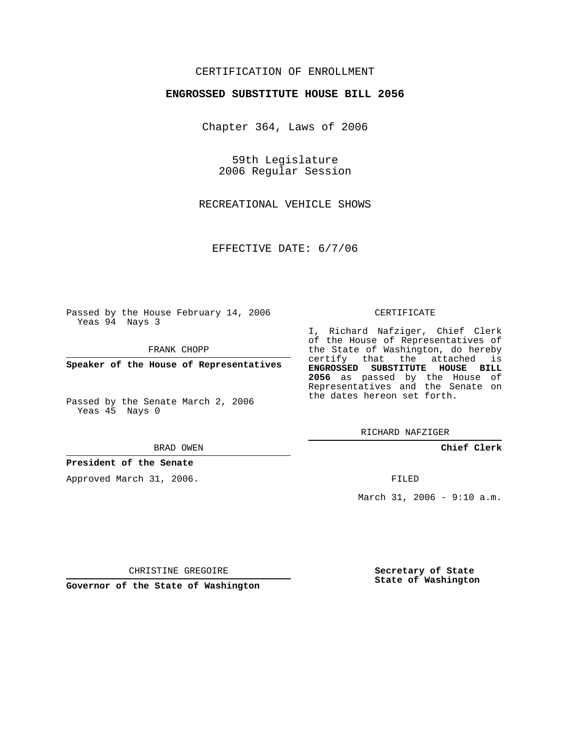## CERTIFICATION OF ENROLLMENT

### **ENGROSSED SUBSTITUTE HOUSE BILL 2056**

Chapter 364, Laws of 2006

59th Legislature 2006 Regular Session

RECREATIONAL VEHICLE SHOWS

EFFECTIVE DATE: 6/7/06

Passed by the House February 14, 2006 Yeas 94 Nays 3

FRANK CHOPP

**Speaker of the House of Representatives**

Passed by the Senate March 2, 2006 Yeas 45 Nays 0

#### BRAD OWEN

## **President of the Senate**

Approved March 31, 2006.

#### CERTIFICATE

I, Richard Nafziger, Chief Clerk of the House of Representatives of the State of Washington, do hereby certify that the attached is **ENGROSSED SUBSTITUTE HOUSE BILL 2056** as passed by the House of Representatives and the Senate on the dates hereon set forth.

RICHARD NAFZIGER

**Chief Clerk**

FILED

March 31, 2006 - 9:10 a.m.

CHRISTINE GREGOIRE

**Governor of the State of Washington**

**Secretary of State State of Washington**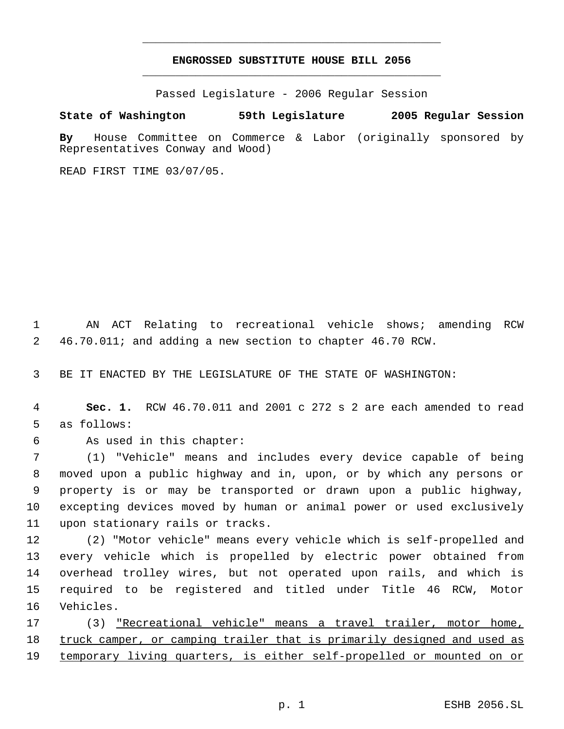# **ENGROSSED SUBSTITUTE HOUSE BILL 2056** \_\_\_\_\_\_\_\_\_\_\_\_\_\_\_\_\_\_\_\_\_\_\_\_\_\_\_\_\_\_\_\_\_\_\_\_\_\_\_\_\_\_\_\_\_

\_\_\_\_\_\_\_\_\_\_\_\_\_\_\_\_\_\_\_\_\_\_\_\_\_\_\_\_\_\_\_\_\_\_\_\_\_\_\_\_\_\_\_\_\_

Passed Legislature - 2006 Regular Session

**State of Washington 59th Legislature 2005 Regular Session**

**By** House Committee on Commerce & Labor (originally sponsored by Representatives Conway and Wood)

READ FIRST TIME 03/07/05.

 AN ACT Relating to recreational vehicle shows; amending RCW 46.70.011; and adding a new section to chapter 46.70 RCW.

BE IT ENACTED BY THE LEGISLATURE OF THE STATE OF WASHINGTON:

- **Sec. 1.** RCW 46.70.011 and 2001 c 272 s 2 are each amended to read as follows:
- 

As used in this chapter:

 (1) "Vehicle" means and includes every device capable of being moved upon a public highway and in, upon, or by which any persons or property is or may be transported or drawn upon a public highway, excepting devices moved by human or animal power or used exclusively upon stationary rails or tracks.

 (2) "Motor vehicle" means every vehicle which is self-propelled and every vehicle which is propelled by electric power obtained from overhead trolley wires, but not operated upon rails, and which is required to be registered and titled under Title 46 RCW, Motor Vehicles.

 (3) "Recreational vehicle" means a travel trailer, motor home, 18 truck camper, or camping trailer that is primarily designed and used as 19 temporary living quarters, is either self-propelled or mounted on or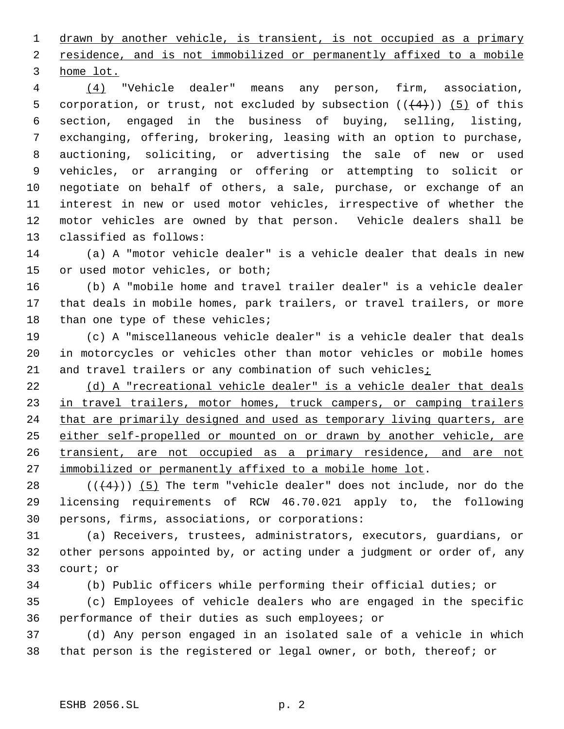drawn by another vehicle, is transient, is not occupied as a primary 2 residence, and is not immobilized or permanently affixed to a mobile home lot.

 (4) "Vehicle dealer" means any person, firm, association, 5 corporation, or trust, not excluded by subsection  $((+4))$  (5) of this section, engaged in the business of buying, selling, listing, exchanging, offering, brokering, leasing with an option to purchase, auctioning, soliciting, or advertising the sale of new or used vehicles, or arranging or offering or attempting to solicit or negotiate on behalf of others, a sale, purchase, or exchange of an interest in new or used motor vehicles, irrespective of whether the motor vehicles are owned by that person. Vehicle dealers shall be classified as follows:

 (a) A "motor vehicle dealer" is a vehicle dealer that deals in new or used motor vehicles, or both;

 (b) A "mobile home and travel trailer dealer" is a vehicle dealer that deals in mobile homes, park trailers, or travel trailers, or more 18 than one type of these vehicles;

 (c) A "miscellaneous vehicle dealer" is a vehicle dealer that deals in motorcycles or vehicles other than motor vehicles or mobile homes 21 and travel trailers or any combination of such vehicles;

 (d) A "recreational vehicle dealer" is a vehicle dealer that deals 23 in travel trailers, motor homes, truck campers, or camping trailers 24 that are primarily designed and used as temporary living quarters, are either self-propelled or mounted on or drawn by another vehicle, are 26 transient, are not occupied as a primary residence, and are not 27 immobilized or permanently affixed to a mobile home lot.

28  $((+4))$  (5) The term "vehicle dealer" does not include, nor do the licensing requirements of RCW 46.70.021 apply to, the following persons, firms, associations, or corporations:

 (a) Receivers, trustees, administrators, executors, guardians, or other persons appointed by, or acting under a judgment or order of, any court; or

(b) Public officers while performing their official duties; or

 (c) Employees of vehicle dealers who are engaged in the specific performance of their duties as such employees; or

 (d) Any person engaged in an isolated sale of a vehicle in which that person is the registered or legal owner, or both, thereof; or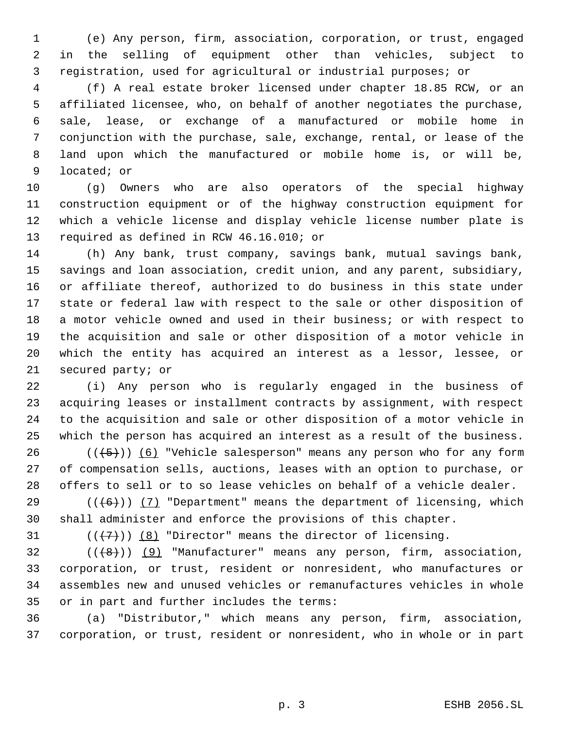(e) Any person, firm, association, corporation, or trust, engaged in the selling of equipment other than vehicles, subject to registration, used for agricultural or industrial purposes; or

 (f) A real estate broker licensed under chapter 18.85 RCW, or an affiliated licensee, who, on behalf of another negotiates the purchase, sale, lease, or exchange of a manufactured or mobile home in conjunction with the purchase, sale, exchange, rental, or lease of the land upon which the manufactured or mobile home is, or will be, located; or

 (g) Owners who are also operators of the special highway construction equipment or of the highway construction equipment for which a vehicle license and display vehicle license number plate is required as defined in RCW 46.16.010; or

 (h) Any bank, trust company, savings bank, mutual savings bank, savings and loan association, credit union, and any parent, subsidiary, or affiliate thereof, authorized to do business in this state under state or federal law with respect to the sale or other disposition of a motor vehicle owned and used in their business; or with respect to the acquisition and sale or other disposition of a motor vehicle in which the entity has acquired an interest as a lessor, lessee, or secured party; or

 (i) Any person who is regularly engaged in the business of acquiring leases or installment contracts by assignment, with respect to the acquisition and sale or other disposition of a motor vehicle in which the person has acquired an interest as a result of the business.

26  $((+5))$   $(6)$  "Vehicle salesperson" means any person who for any form of compensation sells, auctions, leases with an option to purchase, or offers to sell or to so lease vehicles on behalf of a vehicle dealer.

29  $((+6))$   $(7)$  "Department" means the department of licensing, which shall administer and enforce the provisions of this chapter.

31  $((\langle 7 \rangle)(8)$  "Director" means the director of licensing.

 ( $(\frac{48}{})$ ) (9) "Manufacturer" means any person, firm, association, corporation, or trust, resident or nonresident, who manufactures or assembles new and unused vehicles or remanufactures vehicles in whole or in part and further includes the terms:

 (a) "Distributor," which means any person, firm, association, corporation, or trust, resident or nonresident, who in whole or in part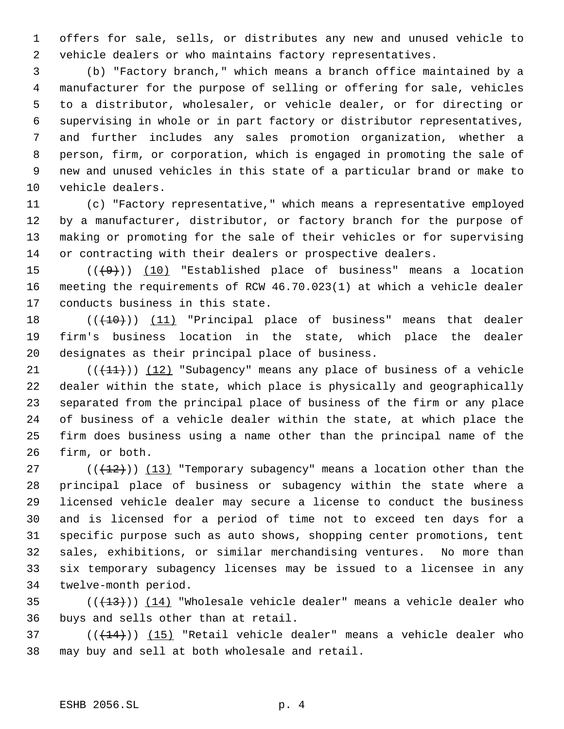offers for sale, sells, or distributes any new and unused vehicle to vehicle dealers or who maintains factory representatives.

 (b) "Factory branch," which means a branch office maintained by a manufacturer for the purpose of selling or offering for sale, vehicles to a distributor, wholesaler, or vehicle dealer, or for directing or supervising in whole or in part factory or distributor representatives, and further includes any sales promotion organization, whether a person, firm, or corporation, which is engaged in promoting the sale of new and unused vehicles in this state of a particular brand or make to vehicle dealers.

 (c) "Factory representative," which means a representative employed by a manufacturer, distributor, or factory branch for the purpose of making or promoting for the sale of their vehicles or for supervising or contracting with their dealers or prospective dealers.

15  $((+9))$   $(10)$  "Established place of business" means a location meeting the requirements of RCW 46.70.023(1) at which a vehicle dealer conducts business in this state.

18 (((10))) (11) "Principal place of business" means that dealer firm's business location in the state, which place the dealer designates as their principal place of business.

 $((+1)^2)$  (12) "Subagency" means any place of business of a vehicle dealer within the state, which place is physically and geographically separated from the principal place of business of the firm or any place of business of a vehicle dealer within the state, at which place the firm does business using a name other than the principal name of the firm, or both.

27 ( $(\frac{12}{12})$ ) (13) "Temporary subagency" means a location other than the principal place of business or subagency within the state where a licensed vehicle dealer may secure a license to conduct the business and is licensed for a period of time not to exceed ten days for a specific purpose such as auto shows, shopping center promotions, tent sales, exhibitions, or similar merchandising ventures. No more than six temporary subagency licenses may be issued to a licensee in any twelve-month period.

35  $((+13))$   $(14)$  "Wholesale vehicle dealer" means a vehicle dealer who buys and sells other than at retail.

 ( $(\overline{+14})$ )  $(15)$  "Retail vehicle dealer" means a vehicle dealer who may buy and sell at both wholesale and retail.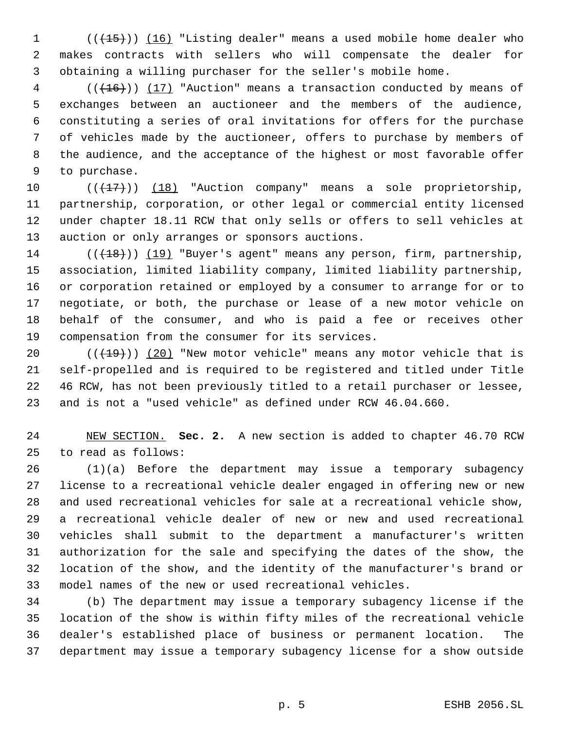1 (( $\left(\frac{15}{15}\right)$ ) (16) "Listing dealer" means a used mobile home dealer who makes contracts with sellers who will compensate the dealer for obtaining a willing purchaser for the seller's mobile home.

 (( $\left(\frac{16}{16}\right)$ ) (17) "Auction" means a transaction conducted by means of exchanges between an auctioneer and the members of the audience, constituting a series of oral invitations for offers for the purchase of vehicles made by the auctioneer, offers to purchase by members of the audience, and the acceptance of the highest or most favorable offer to purchase.

10 (( $\left(\frac{17}{17}\right)$ ) (18) "Auction company" means a sole proprietorship, partnership, corporation, or other legal or commercial entity licensed under chapter 18.11 RCW that only sells or offers to sell vehicles at auction or only arranges or sponsors auctions.

 $((+18))$  (19) "Buyer's agent" means any person, firm, partnership, association, limited liability company, limited liability partnership, or corporation retained or employed by a consumer to arrange for or to negotiate, or both, the purchase or lease of a new motor vehicle on behalf of the consumer, and who is paid a fee or receives other compensation from the consumer for its services.

 $((+19))$   $(20)$  "New motor vehicle" means any motor vehicle that is self-propelled and is required to be registered and titled under Title 46 RCW, has not been previously titled to a retail purchaser or lessee, and is not a "used vehicle" as defined under RCW 46.04.660.

 NEW SECTION. **Sec. 2.** A new section is added to chapter 46.70 RCW to read as follows:

 (1)(a) Before the department may issue a temporary subagency license to a recreational vehicle dealer engaged in offering new or new and used recreational vehicles for sale at a recreational vehicle show, a recreational vehicle dealer of new or new and used recreational vehicles shall submit to the department a manufacturer's written authorization for the sale and specifying the dates of the show, the location of the show, and the identity of the manufacturer's brand or model names of the new or used recreational vehicles.

 (b) The department may issue a temporary subagency license if the location of the show is within fifty miles of the recreational vehicle dealer's established place of business or permanent location. The department may issue a temporary subagency license for a show outside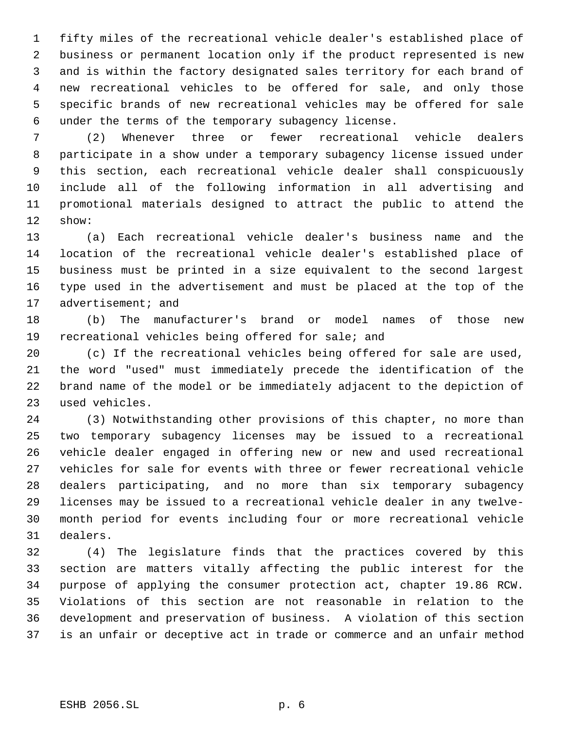fifty miles of the recreational vehicle dealer's established place of business or permanent location only if the product represented is new and is within the factory designated sales territory for each brand of new recreational vehicles to be offered for sale, and only those specific brands of new recreational vehicles may be offered for sale under the terms of the temporary subagency license.

 (2) Whenever three or fewer recreational vehicle dealers participate in a show under a temporary subagency license issued under this section, each recreational vehicle dealer shall conspicuously include all of the following information in all advertising and promotional materials designed to attract the public to attend the show:

 (a) Each recreational vehicle dealer's business name and the location of the recreational vehicle dealer's established place of business must be printed in a size equivalent to the second largest type used in the advertisement and must be placed at the top of the 17 advertisement; and

 (b) The manufacturer's brand or model names of those new recreational vehicles being offered for sale; and

 (c) If the recreational vehicles being offered for sale are used, the word "used" must immediately precede the identification of the brand name of the model or be immediately adjacent to the depiction of used vehicles.

 (3) Notwithstanding other provisions of this chapter, no more than two temporary subagency licenses may be issued to a recreational vehicle dealer engaged in offering new or new and used recreational vehicles for sale for events with three or fewer recreational vehicle dealers participating, and no more than six temporary subagency licenses may be issued to a recreational vehicle dealer in any twelve- month period for events including four or more recreational vehicle dealers.

 (4) The legislature finds that the practices covered by this section are matters vitally affecting the public interest for the purpose of applying the consumer protection act, chapter 19.86 RCW. Violations of this section are not reasonable in relation to the development and preservation of business. A violation of this section is an unfair or deceptive act in trade or commerce and an unfair method